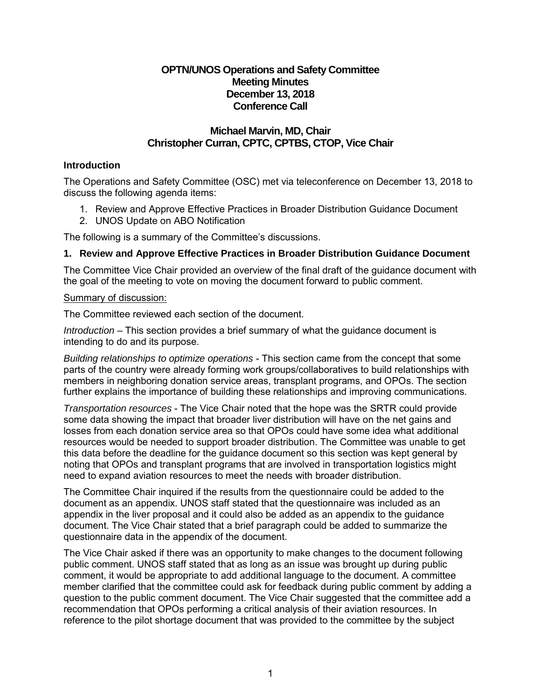# **OPTN/UNOS Operations and Safety Committee Meeting Minutes December 13, 2018 Conference Call**

## **Michael Marvin, MD, Chair Christopher Curran, CPTC, CPTBS, CTOP, Vice Chair**

## **Introduction**

The Operations and Safety Committee (OSC) met via teleconference on December 13, 2018 to discuss the following agenda items:

- 1. Review and Approve Effective Practices in Broader Distribution Guidance Document
- 2. UNOS Update on ABO Notification

The following is a summary of the Committee's discussions.

## **1. Review and Approve Effective Practices in Broader Distribution Guidance Document**

The Committee Vice Chair provided an overview of the final draft of the guidance document with the goal of the meeting to vote on moving the document forward to public comment.

#### Summary of discussion:

The Committee reviewed each section of the document.

*Introduction* – This section provides a brief summary of what the guidance document is intending to do and its purpose.

*Building relationships to optimize operations* - This section came from the concept that some parts of the country were already forming work groups/collaboratives to build relationships with members in neighboring donation service areas, transplant programs, and OPOs. The section further explains the importance of building these relationships and improving communications.

*Transportation resources* - The Vice Chair noted that the hope was the SRTR could provide some data showing the impact that broader liver distribution will have on the net gains and losses from each donation service area so that OPOs could have some idea what additional resources would be needed to support broader distribution. The Committee was unable to get this data before the deadline for the guidance document so this section was kept general by noting that OPOs and transplant programs that are involved in transportation logistics might need to expand aviation resources to meet the needs with broader distribution.

The Committee Chair inquired if the results from the questionnaire could be added to the document as an appendix. UNOS staff stated that the questionnaire was included as an appendix in the liver proposal and it could also be added as an appendix to the guidance document. The Vice Chair stated that a brief paragraph could be added to summarize the questionnaire data in the appendix of the document.

The Vice Chair asked if there was an opportunity to make changes to the document following public comment. UNOS staff stated that as long as an issue was brought up during public comment, it would be appropriate to add additional language to the document. A committee member clarified that the committee could ask for feedback during public comment by adding a question to the public comment document. The Vice Chair suggested that the committee add a recommendation that OPOs performing a critical analysis of their aviation resources. In reference to the pilot shortage document that was provided to the committee by the subject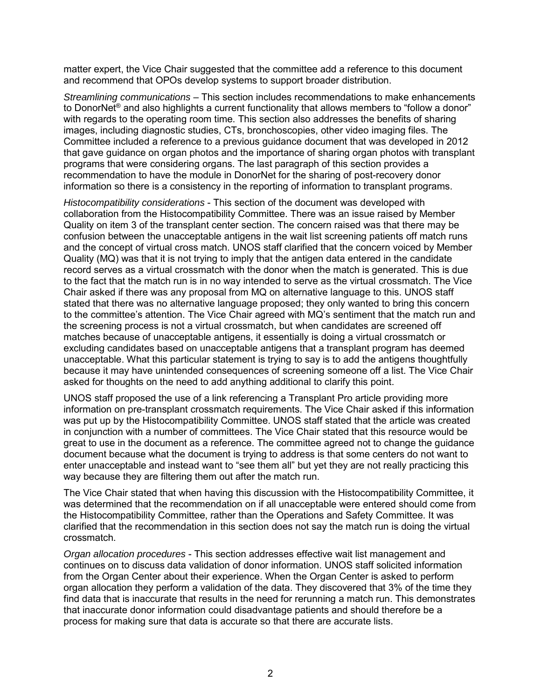matter expert, the Vice Chair suggested that the committee add a reference to this document and recommend that OPOs develop systems to support broader distribution.

*Streamlining communications* – This section includes recommendations to make enhancements to DonorNet® and also highlights a current functionality that allows members to "follow a donor" with regards to the operating room time. This section also addresses the benefits of sharing images, including diagnostic studies, CTs, bronchoscopies, other video imaging files. The Committee included a reference to a previous guidance document that was developed in 2012 that gave guidance on organ photos and the importance of sharing organ photos with transplant programs that were considering organs. The last paragraph of this section provides a recommendation to have the module in DonorNet for the sharing of post-recovery donor information so there is a consistency in the reporting of information to transplant programs.

*Histocompatibility considerations* - This section of the document was developed with collaboration from the Histocompatibility Committee. There was an issue raised by Member Quality on item 3 of the transplant center section. The concern raised was that there may be confusion between the unacceptable antigens in the wait list screening patients off match runs and the concept of virtual cross match. UNOS staff clarified that the concern voiced by Member Quality (MQ) was that it is not trying to imply that the antigen data entered in the candidate record serves as a virtual crossmatch with the donor when the match is generated. This is due to the fact that the match run is in no way intended to serve as the virtual crossmatch. The Vice Chair asked if there was any proposal from MQ on alternative language to this. UNOS staff stated that there was no alternative language proposed; they only wanted to bring this concern to the committee's attention. The Vice Chair agreed with MQ's sentiment that the match run and the screening process is not a virtual crossmatch, but when candidates are screened off matches because of unacceptable antigens, it essentially is doing a virtual crossmatch or excluding candidates based on unacceptable antigens that a transplant program has deemed unacceptable. What this particular statement is trying to say is to add the antigens thoughtfully because it may have unintended consequences of screening someone off a list. The Vice Chair asked for thoughts on the need to add anything additional to clarify this point.

UNOS staff proposed the use of a link referencing a Transplant Pro article providing more information on pre-transplant crossmatch requirements. The Vice Chair asked if this information was put up by the Histocompatibility Committee. UNOS staff stated that the article was created in conjunction with a number of committees. The Vice Chair stated that this resource would be great to use in the document as a reference. The committee agreed not to change the guidance document because what the document is trying to address is that some centers do not want to enter unacceptable and instead want to "see them all" but yet they are not really practicing this way because they are filtering them out after the match run.

The Vice Chair stated that when having this discussion with the Histocompatibility Committee, it was determined that the recommendation on if all unacceptable were entered should come from the Histocompatibility Committee, rather than the Operations and Safety Committee. It was clarified that the recommendation in this section does not say the match run is doing the virtual crossmatch.

*Organ allocation procedures* - This section addresses effective wait list management and continues on to discuss data validation of donor information. UNOS staff solicited information from the Organ Center about their experience. When the Organ Center is asked to perform organ allocation they perform a validation of the data. They discovered that 3% of the time they find data that is inaccurate that results in the need for rerunning a match run. This demonstrates that inaccurate donor information could disadvantage patients and should therefore be a process for making sure that data is accurate so that there are accurate lists.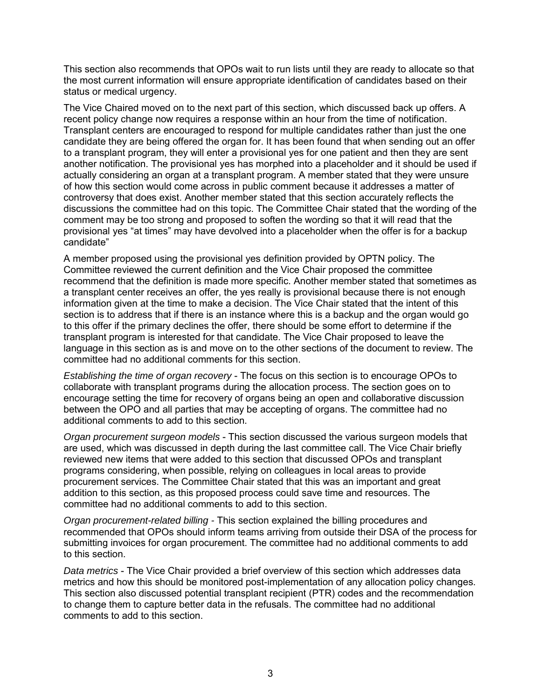This section also recommends that OPOs wait to run lists until they are ready to allocate so that the most current information will ensure appropriate identification of candidates based on their status or medical urgency.

The Vice Chaired moved on to the next part of this section, which discussed back up offers. A recent policy change now requires a response within an hour from the time of notification. Transplant centers are encouraged to respond for multiple candidates rather than just the one candidate they are being offered the organ for. It has been found that when sending out an offer to a transplant program, they will enter a provisional yes for one patient and then they are sent another notification. The provisional yes has morphed into a placeholder and it should be used if actually considering an organ at a transplant program. A member stated that they were unsure of how this section would come across in public comment because it addresses a matter of controversy that does exist. Another member stated that this section accurately reflects the discussions the committee had on this topic. The Committee Chair stated that the wording of the comment may be too strong and proposed to soften the wording so that it will read that the provisional yes "at times" may have devolved into a placeholder when the offer is for a backup candidate"

A member proposed using the provisional yes definition provided by OPTN policy. The Committee reviewed the current definition and the Vice Chair proposed the committee recommend that the definition is made more specific. Another member stated that sometimes as a transplant center receives an offer, the yes really is provisional because there is not enough information given at the time to make a decision. The Vice Chair stated that the intent of this section is to address that if there is an instance where this is a backup and the organ would go to this offer if the primary declines the offer, there should be some effort to determine if the transplant program is interested for that candidate. The Vice Chair proposed to leave the language in this section as is and move on to the other sections of the document to review. The committee had no additional comments for this section.

*Establishing the time of organ recovery* - The focus on this section is to encourage OPOs to collaborate with transplant programs during the allocation process. The section goes on to encourage setting the time for recovery of organs being an open and collaborative discussion between the OPO and all parties that may be accepting of organs. The committee had no additional comments to add to this section.

*Organ procurement surgeon models* - This section discussed the various surgeon models that are used, which was discussed in depth during the last committee call. The Vice Chair briefly reviewed new items that were added to this section that discussed OPOs and transplant programs considering, when possible, relying on colleagues in local areas to provide procurement services. The Committee Chair stated that this was an important and great addition to this section, as this proposed process could save time and resources. The committee had no additional comments to add to this section.

*Organ procurement-related billing -* This section explained the billing procedures and recommended that OPOs should inform teams arriving from outside their DSA of the process for submitting invoices for organ procurement. The committee had no additional comments to add to this section.

*Data metrics* - The Vice Chair provided a brief overview of this section which addresses data metrics and how this should be monitored post-implementation of any allocation policy changes. This section also discussed potential transplant recipient (PTR) codes and the recommendation to change them to capture better data in the refusals. The committee had no additional comments to add to this section.